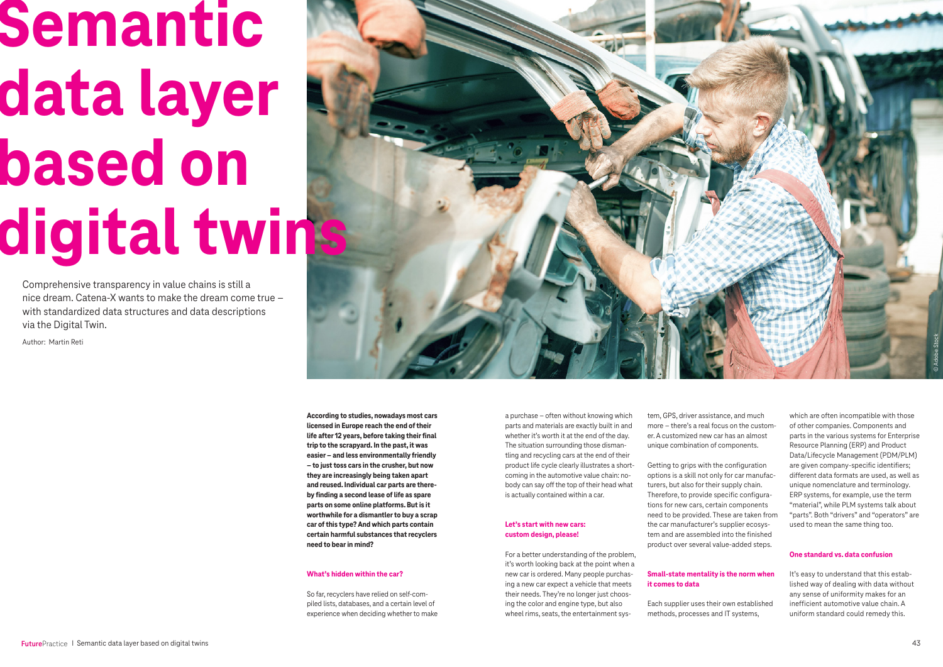**According to studies, nowadays most cars licensed in Europe reach the end of their life after 12 years, before taking their final trip to the scrapyard. In the past, it was easier – and less environmentally friendly – to just toss cars in the crusher, but now they are increasingly being taken apart and reused. Individual car parts are thereby finding a second lease of life as spare parts on some online platforms. But is it worthwhile for a dismantler to buy a scrap car of this type? And which parts contain certain harmful substances that recyclers need to bear in mind?** 

# **What's hidden within the car?**

So far, recyclers have relied on self-compiled lists, databases, and a certain level of experience when deciding whether to make

a purchase – often without knowing which parts and materials are exactly built in and whether it's worth it at the end of the day. The situation surrounding those dismantling and recycling cars at the end of their product life cycle clearly illustrates a shortcoming in the automotive value chain: nobody can say off the top of their head what is actually contained within a car.

# **Let's start with new cars: custom design, please!**

For a better understanding of the problem, it's worth looking back at the point when a new car is ordered. Many people purchasing a new car expect a vehicle that meets their needs. They're no longer just choosing the color and engine type, but also wheel rims, seats, the entertainment sys-

tem, GPS, driver assistance, and much more – there's a real focus on the customer. A customized new car has an almost unique combination of components.

Getting to grips with the configuration options is a skill not only for car manufacturers, but also for their supply chain. Therefore, to provide specific configurations for new cars, certain components need to be provided. These are taken from the car manufacturer's supplier ecosystem and are assembled into the finished product over several value-added steps.

### **Small-state mentality is the norm when it comes to data**

Each supplier uses their own established methods, processes and IT systems,

which are often incompatible with those of other companies. Components and parts in the various systems for Enterprise Resource Planning (ERP) and Product Data/Lifecycle Management (PDM/PLM) are given company-specific identifiers; different data formats are used, as well as unique nomenclature and terminology. ERP systems, for example, use the term "material", while PLM systems talk about "parts". Both "drivers" and "operators" are used to mean the same thing too.

# **One standard vs. data confusion**

It's easy to understand that this established way of dealing with data without any sense of uniformity makes for an inefficient automotive value chain. A uniform standard could remedy this.



# **Semantic data layer based on digital twins**

Comprehensive transparency in value chains is still a nice dream. Catena-X wants to make the dream come true – with standardized data structures and data descriptions via the Digital Twin.

Author: Martin Reti